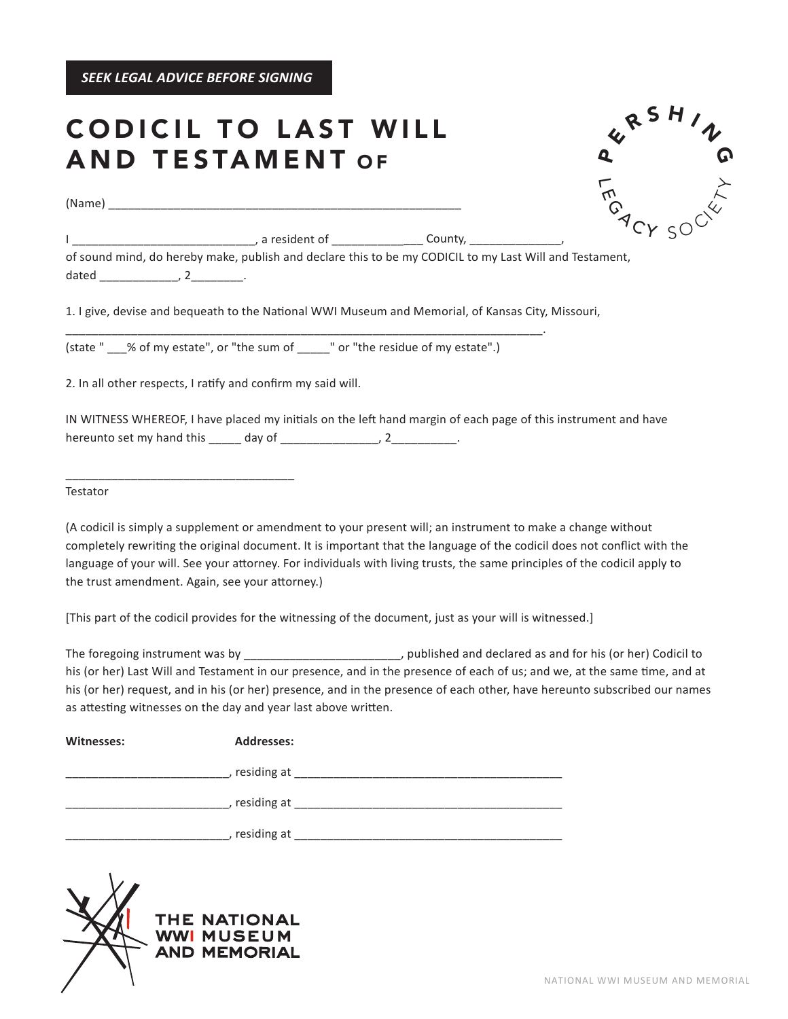*SEEK LEGAL ADVICE BEFORE SIGNING*

## **CODICIL TO LAST WILL** AND TESTAMENT O F

(Name)

 $\mathrel{\mathsf{F}}$ **FM GACY SOCKLY**  $\overline{\mathbf{Q}}$  $\boldsymbol{\mathcal{L}}$  <sup>R</sup> <sup>S</sup> <sup>H</sup> <sup>I</sup> <sup>N</sup> G

| a resident of | Lountv. |
|---------------|---------|
|               |         |

of sound mind, do hereby make, publish and declare this to be my CODICIL to my Last Will and Testament, dated \_\_\_\_\_\_\_\_\_\_\_\_\_\_, 2\_\_\_\_\_\_\_\_\_.

1. I give, devise and bequeath to the National WWI Museum and Memorial, of Kansas City, Missouri,

(state " % of my estate", or "the sum of "or "the residue of my estate".)

\_\_\_\_\_\_\_\_\_\_\_\_\_\_\_\_\_\_\_\_\_\_\_\_\_\_\_\_\_\_\_\_\_\_\_\_\_\_\_\_\_\_\_\_\_\_\_\_\_\_\_\_\_\_\_\_\_\_\_\_\_\_\_\_\_\_\_\_\_\_\_\_\_.

2. In all other respects, I ratify and confirm my said will.

\_\_\_\_\_\_\_\_\_\_\_\_\_\_\_\_\_\_\_\_\_\_\_\_\_\_\_\_\_\_\_\_\_\_\_

IN WITNESS WHEREOF, I have placed my initials on the left hand margin of each page of this instrument and have hereunto set my hand this \_\_\_\_\_ day of \_\_\_\_\_\_\_\_\_\_\_\_\_\_\_\_, 2\_\_\_\_\_\_\_\_\_\_.

Testator

(A codicil is simply a supplement or amendment to your present will; an instrument to make a change without completely rewriting the original document. It is important that the language of the codicil does not conflict with the language of your will. See your attorney. For individuals with living trusts, the same principles of the codicil apply to the trust amendment. Again, see your attorney.)

[This part of the codicil provides for the witnessing of the document, just as your will is witnessed.]

The foregoing instrument was by  $\qquad \qquad$ , published and declared as and for his (or her) Codicil to his (or her) Last Will and Testament in our presence, and in the presence of each of us; and we, at the same time, and at his (or her) request, and in his (or her) presence, and in the presence of each other, have hereunto subscribed our names as attesting witnesses on the day and year last above written.

| <b>Addresses:</b> |  |
|-------------------|--|
| , residing at     |  |
| , residing at     |  |
| residing at       |  |